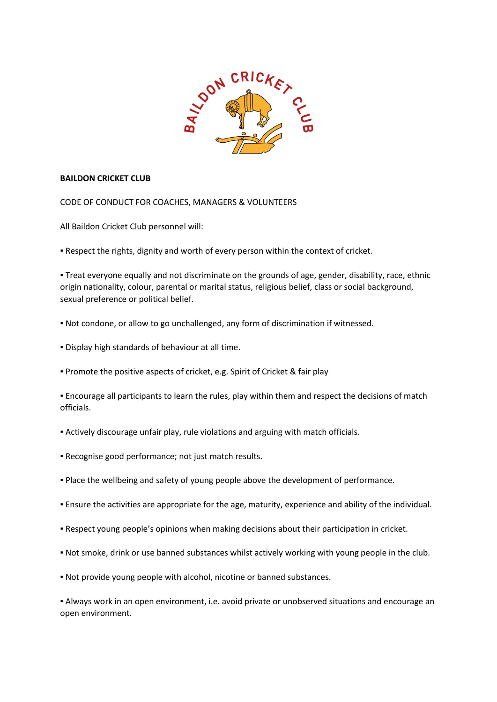

## **BAILDON CRICKET CLUB**

CODE OF CONDUCT FOR COACHES, MANAGERS & VOLUNTEERS

All Baildon Cricket Club personnel will:

**.** Respect the rights, dignity and worth of every person within the context of cricket.

▪ Treat everyone equally and not discriminate on the grounds of age, gender, disability, race, ethnic origin nationality, colour, parental or marital status, religious belief, class or social background, sexual preference or political belief.

- Not condone, or allow to go unchallenged, any form of discrimination if witnessed.
- Display high standards of behaviour at all time.
- **Promote the positive aspects of cricket, e.g. Spirit of Cricket & fair play**

**Encourage all participants to learn the rules, play within them and respect the decisions of match** officials.

- Actively discourage unfair play, rule violations and arguing with match officials.
- Recognise good performance; not just match results.
- Place the wellbeing and safety of young people above the development of performance.
- Ensure the activities are appropriate for the age, maturity, experience and ability of the individual.
- Respect young people's opinions when making decisions about their participation in cricket.
- Not smoke, drink or use banned substances whilst actively working with young people in the club.
- Not provide young people with alcohol, nicotine or banned substances.

▪ Always work in an open environment, i.e. avoid private or unobserved situations and encourage an open environment.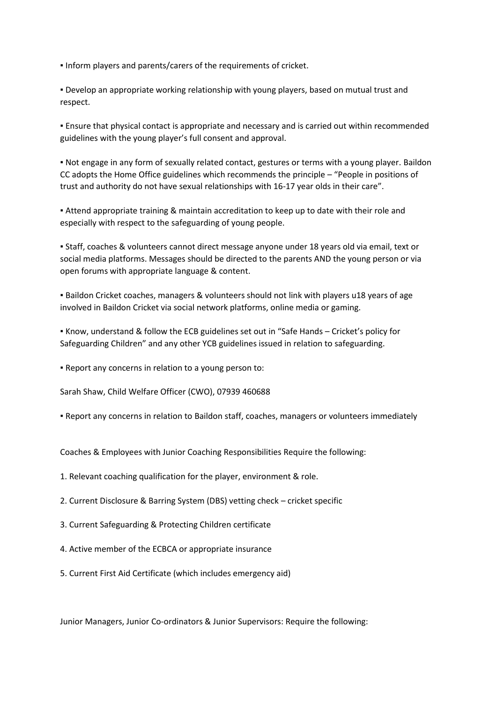▪ Inform players and parents/carers of the requirements of cricket.

▪ Develop an appropriate working relationship with young players, based on mutual trust and respect.

▪ Ensure that physical contact is appropriate and necessary and is carried out within recommended guidelines with the young player's full consent and approval.

▪ Not engage in any form of sexually related contact, gestures or terms with a young player. Baildon CC adopts the Home Office guidelines which recommends the principle – "People in positions of trust and authority do not have sexual relationships with 16-17 year olds in their care".

**• Attend appropriate training & maintain accreditation to keep up to date with their role and** especially with respect to the safeguarding of young people.

▪ Staff, coaches & volunteers cannot direct message anyone under 18 years old via email, text or social media platforms. Messages should be directed to the parents AND the young person or via open forums with appropriate language & content.

▪ Baildon Cricket coaches, managers & volunteers should not link with players u18 years of age involved in Baildon Cricket via social network platforms, online media or gaming.

▪ Know, understand & follow the ECB guidelines set out in "Safe Hands – Cricket's policy for Safeguarding Children" and any other YCB guidelines issued in relation to safeguarding.

▪ Report any concerns in relation to a young person to:

Sarah Shaw, Child Welfare Officer (CWO), 07939 460688

▪ Report any concerns in relation to Baildon staff, coaches, managers or volunteers immediately

Coaches & Employees with Junior Coaching Responsibilities Require the following:

1. Relevant coaching qualification for the player, environment & role.

2. Current Disclosure & Barring System (DBS) vetting check – cricket specific

3. Current Safeguarding & Protecting Children certificate

4. Active member of the ECBCA or appropriate insurance

5. Current First Aid Certificate (which includes emergency aid)

Junior Managers, Junior Co-ordinators & Junior Supervisors: Require the following: